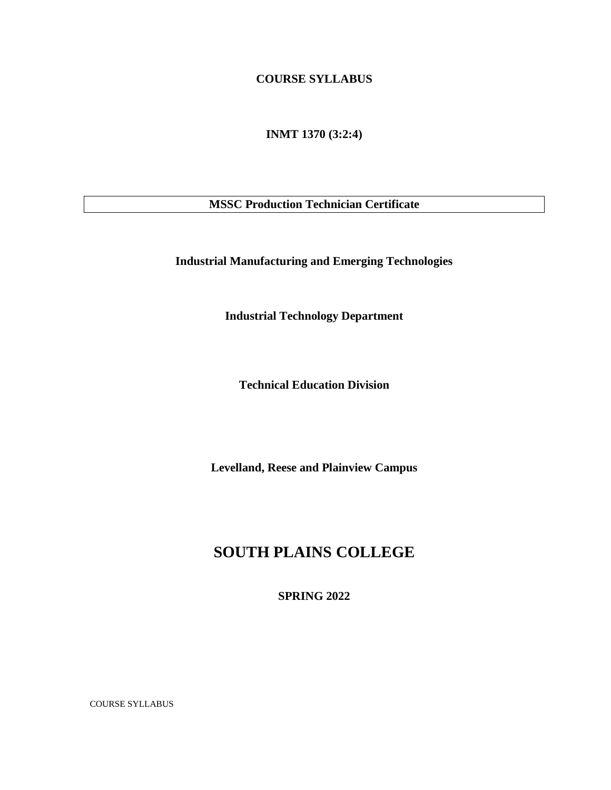## **COURSE SYLLABUS**

**INMT 1370 (3:2:4)**

**MSSC Production Technician Certificate**

**Industrial Manufacturing and Emerging Technologies**

**Industrial Technology Department**

**Technical Education Division**

**Levelland, Reese and Plainview Campus**

# **SOUTH PLAINS COLLEGE**

**SPRING 2022**

COURSE SYLLABUS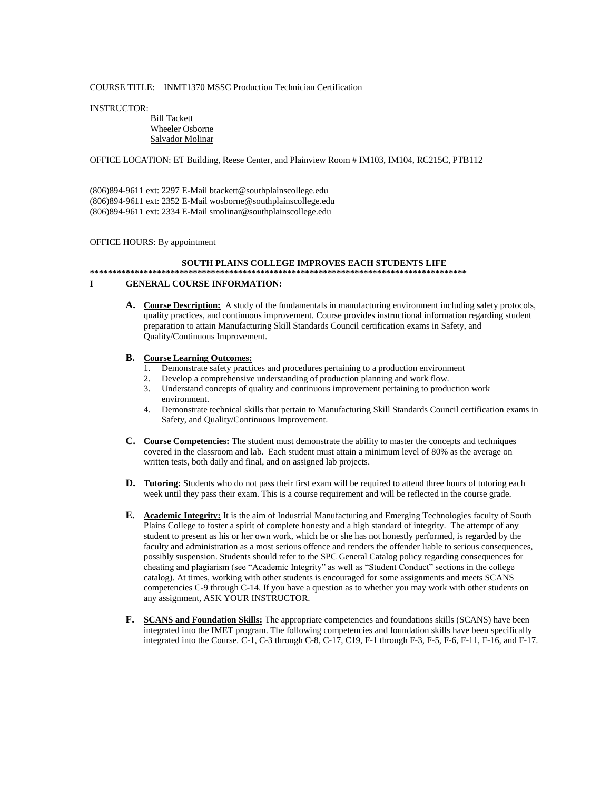## COURSE TITLE: INMT1370 MSSC Production Technician Certification

INSTRUCTOR:

### Bill Tackett Wheeler Osborne Salvador Molinar

## OFFICE LOCATION: ET Building, Reese Center, and Plainview Room # IM103, IM104, RC215C, PTB112

(806)894-9611 ext: 2297 E-Mail btackett@southplainscollege.edu (806)894-9611 ext: 2352 E-Mail wosborne@southplainscollege.edu (806)894-9611 ext: 2334 E-Mail smolinar@southplainscollege.edu

## OFFICE HOURS: By appointment

### **SOUTH PLAINS COLLEGE IMPROVES EACH STUDENTS LIFE \*\*\*\*\*\*\*\*\*\*\*\*\*\*\*\*\*\*\*\*\*\*\*\*\*\*\*\*\*\*\*\*\*\*\*\*\*\*\*\*\*\*\*\*\*\*\*\*\*\*\*\*\*\*\*\*\*\*\*\*\*\*\*\*\*\*\*\*\*\*\*\*\*\*\*\*\*\*\*\*\*\*\*\***

### **I GENERAL COURSE INFORMATION:**

**A. Course Description:** A study of the fundamentals in manufacturing environment including safety protocols, quality practices, and continuous improvement. Course provides instructional information regarding student preparation to attain Manufacturing Skill Standards Council certification exams in Safety, and Quality/Continuous Improvement.

### **B. Course Learning Outcomes:**

- 1. Demonstrate safety practices and procedures pertaining to a production environment
- 2. Develop a comprehensive understanding of production planning and work flow.<br>3. Understand concepts of quality and continuous improvement pertaining to produ
- 3. Understand concepts of quality and continuous improvement pertaining to production work environment.
- 4. Demonstrate technical skills that pertain to Manufacturing Skill Standards Council certification exams in Safety, and Quality/Continuous Improvement.
- **C. Course Competencies:** The student must demonstrate the ability to master the concepts and techniques covered in the classroom and lab. Each student must attain a minimum level of 80% as the average on written tests, both daily and final, and on assigned lab projects.
- **D. Tutoring:** Students who do not pass their first exam will be required to attend three hours of tutoring each week until they pass their exam. This is a course requirement and will be reflected in the course grade.
- **E. Academic Integrity:** It is the aim of Industrial Manufacturing and Emerging Technologies faculty of South Plains College to foster a spirit of complete honesty and a high standard of integrity. The attempt of any student to present as his or her own work, which he or she has not honestly performed, is regarded by the faculty and administration as a most serious offence and renders the offender liable to serious consequences, possibly suspension. Students should refer to the SPC General Catalog policy regarding consequences for cheating and plagiarism (see "Academic Integrity" as well as "Student Conduct" sections in the college catalog). At times, working with other students is encouraged for some assignments and meets SCANS competencies C-9 through C-14. If you have a question as to whether you may work with other students on any assignment, ASK YOUR INSTRUCTOR.
- **F. SCANS and Foundation Skills:** The appropriate competencies and foundations skills (SCANS) have been integrated into the IMET program. The following competencies and foundation skills have been specifically integrated into the Course. C-1, C-3 through C-8, C-17, C19, F-1 through F-3, F-5, F-6, F-11, F-16, and F-17.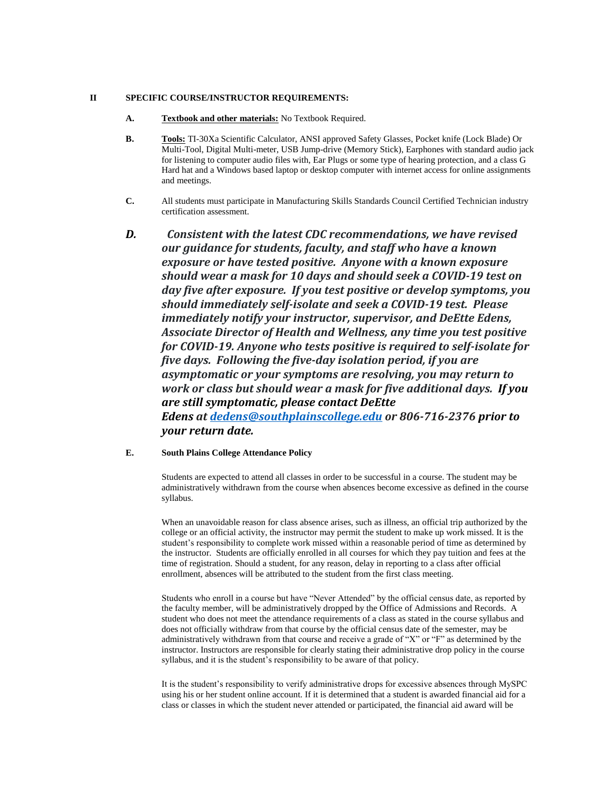## **II SPECIFIC COURSE/INSTRUCTOR REQUIREMENTS:**

- **A. Textbook and other materials:** No Textbook Required.
- **B. Tools:** TI-30Xa Scientific Calculator, ANSI approved Safety Glasses, Pocket knife (Lock Blade) Or Multi-Tool, Digital Multi-meter, USB Jump-drive (Memory Stick), Earphones with standard audio jack for listening to computer audio files with, Ear Plugs or some type of hearing protection, and a class G Hard hat and a Windows based laptop or desktop computer with internet access for online assignments and meetings.
- **C.** All students must participate in Manufacturing Skills Standards Council Certified Technician industry certification assessment.
- *D. Consistent with the latest CDC recommendations, we have revised our guidance for students, faculty, and staff who have a known exposure or have tested positive. Anyone with a known exposure should wear a mask for 10 days and should seek a COVID-19 test on day five after exposure. If you test positive or develop symptoms, you should immediately self-isolate and seek a COVID-19 test. Please immediately notify your instructor, supervisor, and DeEtte Edens, Associate Director of Health and Wellness, any time you test positive for COVID-19. Anyone who tests positive is required to self-isolate for five days. Following the five-day isolation period, if you are asymptomatic or your symptoms are resolving, you may return to work or class but should wear a mask for five additional days. If you are still symptomatic, please contact DeEtte Edens at [dedens@southplainscollege.edu](mailto:dedens@southplainscollege.edu) or 806-716-2376 prior to your return date.*
- **E. South Plains College Attendance Policy**

Students are expected to attend all classes in order to be successful in a course. The student may be administratively withdrawn from the course when absences become excessive as defined in the course syllabus.

When an unavoidable reason for class absence arises, such as illness, an official trip authorized by the college or an official activity, the instructor may permit the student to make up work missed. It is the student's responsibility to complete work missed within a reasonable period of time as determined by the instructor. Students are officially enrolled in all courses for which they pay tuition and fees at the time of registration. Should a student, for any reason, delay in reporting to a class after official enrollment, absences will be attributed to the student from the first class meeting.

Students who enroll in a course but have "Never Attended" by the official census date, as reported by the faculty member, will be administratively dropped by the Office of Admissions and Records. A student who does not meet the attendance requirements of a class as stated in the course syllabus and does not officially withdraw from that course by the official census date of the semester, may be administratively withdrawn from that course and receive a grade of "X" or "F" as determined by the instructor. Instructors are responsible for clearly stating their administrative drop policy in the course syllabus, and it is the student's responsibility to be aware of that policy.

It is the student's responsibility to verify administrative drops for excessive absences through MySPC using his or her student online account. If it is determined that a student is awarded financial aid for a class or classes in which the student never attended or participated, the financial aid award will be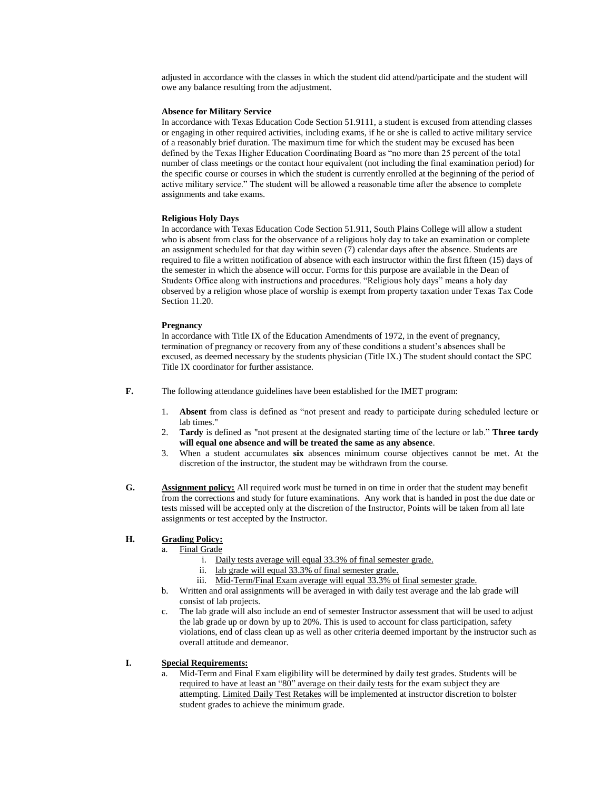adjusted in accordance with the classes in which the student did attend/participate and the student will owe any balance resulting from the adjustment.

### **Absence for Military Service**

In accordance with Texas Education Code Section 51.9111, a student is excused from attending classes or engaging in other required activities, including exams, if he or she is called to active military service of a reasonably brief duration. The maximum time for which the student may be excused has been defined by the Texas Higher Education Coordinating Board as "no more than 25 percent of the total number of class meetings or the contact hour equivalent (not including the final examination period) for the specific course or courses in which the student is currently enrolled at the beginning of the period of active military service." The student will be allowed a reasonable time after the absence to complete assignments and take exams.

## **Religious Holy Days**

In accordance with Texas Education Code Section 51.911, South Plains College will allow a student who is absent from class for the observance of a religious holy day to take an examination or complete an assignment scheduled for that day within seven (7) calendar days after the absence. Students are required to file a written notification of absence with each instructor within the first fifteen (15) days of the semester in which the absence will occur. Forms for this purpose are available in the Dean of Students Office along with instructions and procedures. "Religious holy days" means a holy day observed by a religion whose place of worship is exempt from property taxation under Texas Tax Code Section 11.20.

### **Pregnancy**

In accordance with Title IX of the Education Amendments of 1972, in the event of pregnancy, termination of pregnancy or recovery from any of these conditions a student's absences shall be excused, as deemed necessary by the students physician (Title IX.) The student should contact the SPC Title IX coordinator for further assistance.

**F.** The following attendance guidelines have been established for the IMET program:

- 1. **Absent** from class is defined as "not present and ready to participate during scheduled lecture or lab times."
- 2. **Tardy** is defined as "not present at the designated starting time of the lecture or lab." **Three tardy will equal one absence and will be treated the same as any absence**.
- 3. When a student accumulates **six** absences minimum course objectives cannot be met. At the discretion of the instructor, the student may be withdrawn from the course.
- **G. Assignment policy:** All required work must be turned in on time in order that the student may benefit from the corrections and study for future examinations. Any work that is handed in post the due date or tests missed will be accepted only at the discretion of the Instructor, Points will be taken from all late assignments or test accepted by the Instructor.

## **H. Grading Policy:**

## a. Final Grade

- i. Daily tests average will equal 33.3% of final semester grade.
- ii. lab grade will equal 33.3% of final semester grade.
- iii. Mid-Term/Final Exam average will equal 33.3% of final semester grade.
- b. Written and oral assignments will be averaged in with daily test average and the lab grade will consist of lab projects.
- c. The lab grade will also include an end of semester Instructor assessment that will be used to adjust the lab grade up or down by up to 20%. This is used to account for class participation, safety violations, end of class clean up as well as other criteria deemed important by the instructor such as overall attitude and demeanor.

## **I. Special Requirements:**

a. Mid-Term and Final Exam eligibility will be determined by daily test grades. Students will be required to have at least an "80" average on their daily tests for the exam subject they are attempting. Limited Daily Test Retakes will be implemented at instructor discretion to bolster student grades to achieve the minimum grade.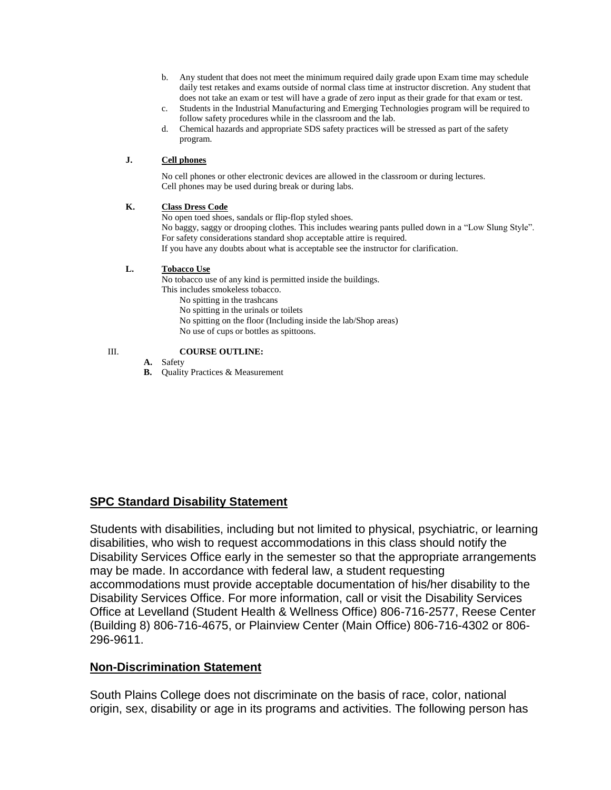- b. Any student that does not meet the minimum required daily grade upon Exam time may schedule daily test retakes and exams outside of normal class time at instructor discretion. Any student that does not take an exam or test will have a grade of zero input as their grade for that exam or test.
- c. Students in the Industrial Manufacturing and Emerging Technologies program will be required to follow safety procedures while in the classroom and the lab.
- d. Chemical hazards and appropriate SDS safety practices will be stressed as part of the safety program.

## **J. Cell phones**

No cell phones or other electronic devices are allowed in the classroom or during lectures. Cell phones may be used during break or during labs.

## **K. Class Dress Code**

No open toed shoes, sandals or flip-flop styled shoes. No baggy, saggy or drooping clothes. This includes wearing pants pulled down in a "Low Slung Style". For safety considerations standard shop acceptable attire is required. If you have any doubts about what is acceptable see the instructor for clarification.

## **L. Tobacco Use**

No tobacco use of any kind is permitted inside the buildings. This includes smokeless tobacco.

- No spitting in the trashcans
- No spitting in the urinals or toilets
- No spitting on the floor (Including inside the lab/Shop areas)
- No use of cups or bottles as spittoons.

## III. **COURSE OUTLINE:**

- **A.** Safety
- **B.** Quality Practices & Measurement

## **SPC Standard Disability Statement**

Students with disabilities, including but not limited to physical, psychiatric, or learning disabilities, who wish to request accommodations in this class should notify the Disability Services Office early in the semester so that the appropriate arrangements may be made. In accordance with federal law, a student requesting accommodations must provide acceptable documentation of his/her disability to the Disability Services Office. For more information, call or visit the Disability Services Office at Levelland (Student Health & Wellness Office) 806-716-2577, Reese Center (Building 8) 806-716-4675, or Plainview Center (Main Office) 806-716-4302 or 806- 296-9611.

## **Non-Discrimination Statement**

South Plains College does not discriminate on the basis of race, color, national origin, sex, disability or age in its programs and activities. The following person has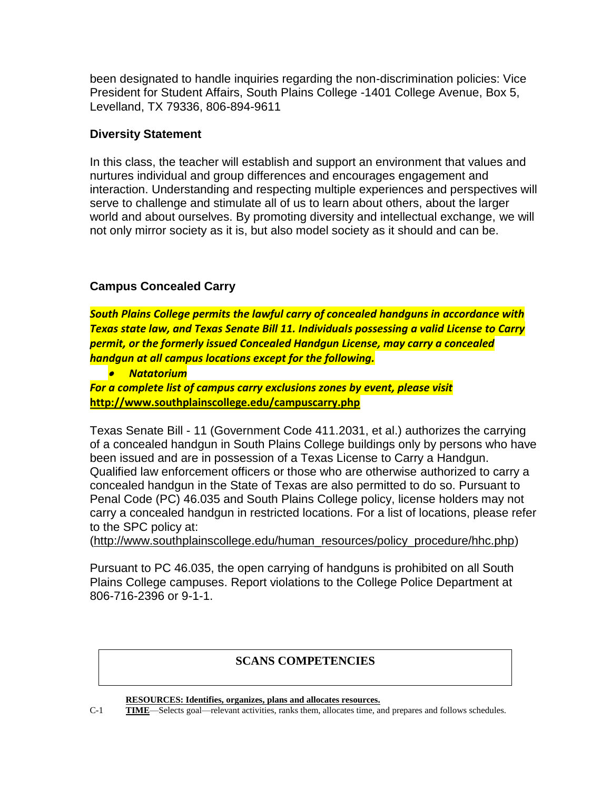been designated to handle inquiries regarding the non-discrimination policies: Vice President for Student Affairs, South Plains College -1401 College Avenue, Box 5, Levelland, TX 79336, 806-894-9611

## **Diversity Statement**

In this class, the teacher will establish and support an environment that values and nurtures individual and group differences and encourages engagement and interaction. Understanding and respecting multiple experiences and perspectives will serve to challenge and stimulate all of us to learn about others, about the larger world and about ourselves. By promoting diversity and intellectual exchange, we will not only mirror society as it is, but also model society as it should and can be.

## **Campus Concealed Carry**

*South Plains College permits the lawful carry of concealed handguns in accordance with Texas state law, and Texas Senate Bill 11. Individuals possessing a valid License to Carry permit, or the formerly issued Concealed Handgun License, may carry a concealed handgun at all campus locations except for the following.*

• *Natatorium*

*For a complete list of campus carry exclusions zones by event, please visit* **<http://www.southplainscollege.edu/campuscarry.php>**

Texas Senate Bill - 11 (Government Code 411.2031, et al.) authorizes the carrying of a concealed handgun in South Plains College buildings only by persons who have been issued and are in possession of a Texas License to Carry a Handgun. Qualified law enforcement officers or those who are otherwise authorized to carry a concealed handgun in the State of Texas are also permitted to do so. Pursuant to Penal Code (PC) 46.035 and South Plains College policy, license holders may not carry a concealed handgun in restricted locations. For a list of locations, please refer to the SPC policy at:

[\(http://www.southplainscollege.edu/human\\_resources/policy\\_procedure/hhc.php\)](http://www.southplainscollege.edu/human_resources/policy_procedure/hhc.php)

Pursuant to PC 46.035, the open carrying of handguns is prohibited on all South Plains College campuses. Report violations to the College Police Department at 806-716-2396 or 9-1-1.

## **SCANS COMPETENCIES**

**RESOURCES: Identifies, organizes, plans and allocates resources.**

C-1 **TIME**—Selects goal—relevant activities, ranks them, allocates time, and prepares and follows schedules.